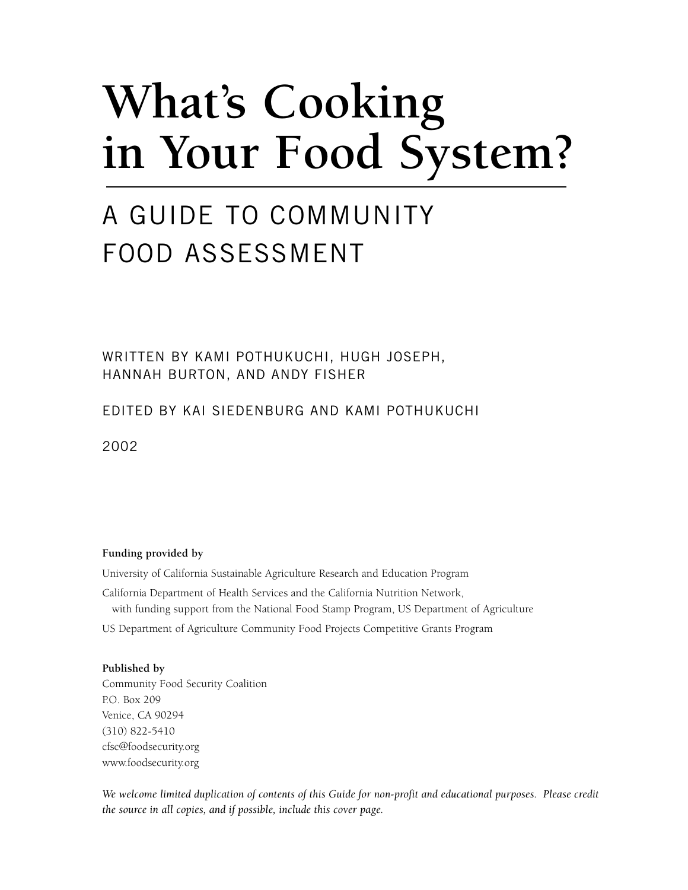# **What's Cooking in Your Food System?**

# A GUIDE TO COMMUNITY FOOD ASSESSMENT

WRITTEN BY KAMI POTHUKUCHI, HUGH JOSEPH, HANNAH BURTON, AND ANDY FISHER

EDITED BY KAI SIEDENBURG AND KAMI POTHUKUCHI

2002

#### **Funding provided by**

University of California Sustainable Agriculture Research and Education Program

California Department of Health Services and the California Nutrition Network, with funding support from the National Food Stamp Program, US Department of Agriculture US Department of Agriculture Community Food Projects Competitive Grants Program

#### **Published by**

Community Food Security Coalition P.O. Box 209 Venice, CA 90294 (310) 822-5410 cfsc@foodsecurity.org www.foodsecurity.org

*We welcome limited duplication of contents of this Guide for non-profit and educational purposes. Please credit the source in all copies, and if possible, include this cover page.*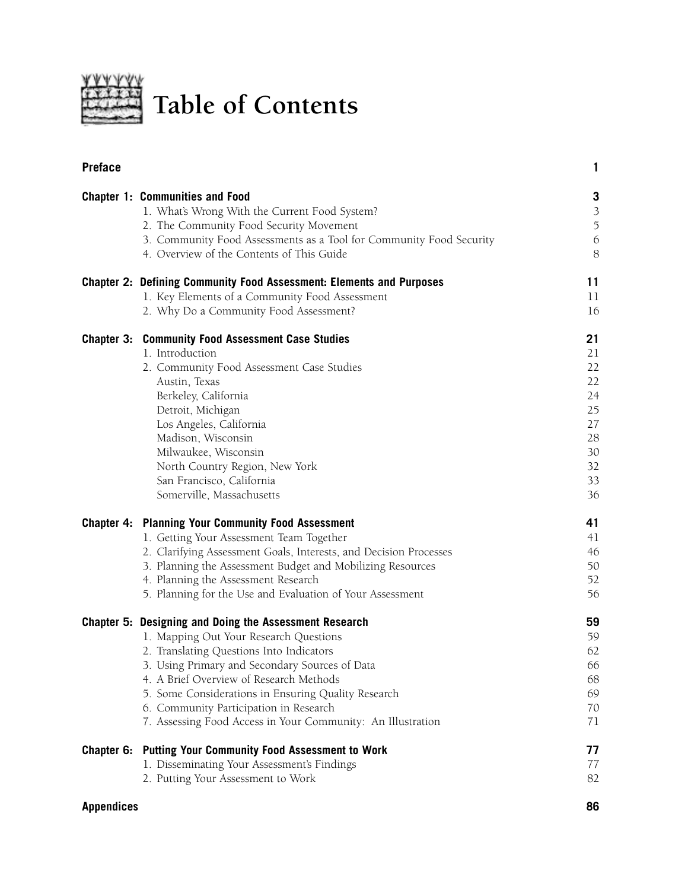

**Table of Contents**

| <b>Preface</b> |                                                                                                                                                                                                           | 1                                                        |
|----------------|-----------------------------------------------------------------------------------------------------------------------------------------------------------------------------------------------------------|----------------------------------------------------------|
|                | <b>Chapter 1: Communities and Food</b><br>1. What's Wrong With the Current Food System?<br>2. The Community Food Security Movement<br>3. Community Food Assessments as a Tool for Community Food Security | 3<br>$\mathfrak{Z}$<br>$\mathfrak I$<br>$\boldsymbol{6}$ |
|                | 4. Overview of the Contents of This Guide                                                                                                                                                                 | 8                                                        |
|                | <b>Chapter 2: Defining Community Food Assessment: Elements and Purposes</b>                                                                                                                               | 11                                                       |
|                | 1. Key Elements of a Community Food Assessment<br>2. Why Do a Community Food Assessment?                                                                                                                  | 11<br>16                                                 |
|                | <b>Chapter 3: Community Food Assessment Case Studies</b>                                                                                                                                                  | 21                                                       |
|                | 1. Introduction                                                                                                                                                                                           | 21                                                       |
|                | 2. Community Food Assessment Case Studies                                                                                                                                                                 | 22                                                       |
|                | Austin, Texas                                                                                                                                                                                             | 22                                                       |
|                | Berkeley, California                                                                                                                                                                                      | 24                                                       |
|                | Detroit, Michigan                                                                                                                                                                                         | 25                                                       |
|                | Los Angeles, California<br>Madison, Wisconsin                                                                                                                                                             | 27<br>28                                                 |
|                | Milwaukee, Wisconsin                                                                                                                                                                                      | 30                                                       |
|                | North Country Region, New York                                                                                                                                                                            | 32                                                       |
|                | San Francisco, California                                                                                                                                                                                 | 33                                                       |
|                | Somerville, Massachusetts                                                                                                                                                                                 | 36                                                       |
|                | <b>Chapter 4: Planning Your Community Food Assessment</b>                                                                                                                                                 | 41                                                       |
|                | 1. Getting Your Assessment Team Together                                                                                                                                                                  | 41                                                       |
|                | 2. Clarifying Assessment Goals, Interests, and Decision Processes                                                                                                                                         | 46                                                       |
|                | 3. Planning the Assessment Budget and Mobilizing Resources                                                                                                                                                | 50                                                       |
|                | 4. Planning the Assessment Research                                                                                                                                                                       | 52                                                       |
|                | 5. Planning for the Use and Evaluation of Your Assessment                                                                                                                                                 | 56                                                       |
|                | Chapter 5: Designing and Doing the Assessment Research                                                                                                                                                    | 59                                                       |
|                | 1. Mapping Out Your Research Questions                                                                                                                                                                    | 59                                                       |
|                | 2. Translating Questions Into Indicators                                                                                                                                                                  | 62                                                       |
|                | 3. Using Primary and Secondary Sources of Data                                                                                                                                                            | 66                                                       |
|                | 4. A Brief Overview of Research Methods                                                                                                                                                                   | 68                                                       |
|                | 5. Some Considerations in Ensuring Quality Research                                                                                                                                                       | 69<br>70                                                 |
|                | 6. Community Participation in Research<br>7. Assessing Food Access in Your Community: An Illustration                                                                                                     | 71                                                       |
| Chapter 6:     | <b>Putting Your Community Food Assessment to Work</b>                                                                                                                                                     | 77                                                       |
|                | 1. Disseminating Your Assessment's Findings                                                                                                                                                               | 77                                                       |
|                | 2. Putting Your Assessment to Work                                                                                                                                                                        | 82                                                       |

### **Appendices 86**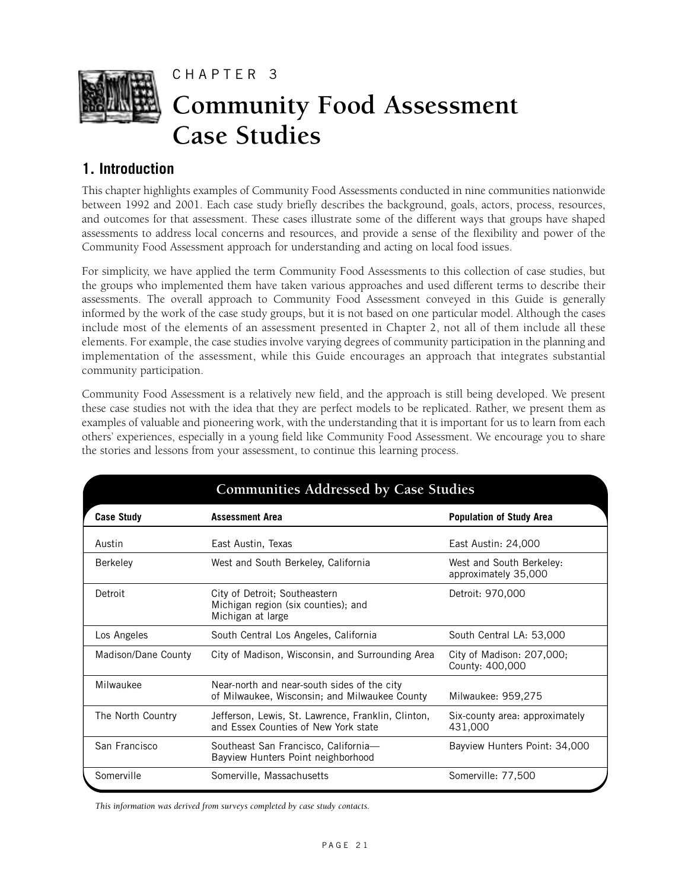

# **1. Introduction**

This chapter highlights examples of Community Food Assessments conducted in nine communities nationwide between 1992 and 2001. Each case study briefly describes the background, goals, actors, process, resources, and outcomes for that assessment. These cases illustrate some of the different ways that groups have shaped assessments to address local concerns and resources, and provide a sense of the flexibility and power of the Community Food Assessment approach for understanding and acting on local food issues.

For simplicity, we have applied the term Community Food Assessments to this collection of case studies, but the groups who implemented them have taken various approaches and used different terms to describe their assessments. The overall approach to Community Food Assessment conveyed in this Guide is generally informed by the work of the case study groups, but it is not based on one particular model. Although the cases include most of the elements of an assessment presented in Chapter 2, not all of them include all these elements. For example, the case studies involve varying degrees of community participation in the planning and implementation of the assessment, while this Guide encourages an approach that integrates substantial community participation.

Community Food Assessment is a relatively new field, and the approach is still being developed. We present these case studies not with the idea that they are perfect models to be replicated. Rather, we present them as examples of valuable and pioneering work, with the understanding that it is important for us to learn from each others' experiences, especially in a young field like Community Food Assessment. We encourage you to share the stories and lessons from your assessment, to continue this learning process.

| <b>Communities Addressed by Case Studies</b> |                                                                                              |                                                  |  |  |  |
|----------------------------------------------|----------------------------------------------------------------------------------------------|--------------------------------------------------|--|--|--|
| <b>Case Study</b>                            | <b>Assessment Area</b>                                                                       | <b>Population of Study Area</b>                  |  |  |  |
| Austin                                       | East Austin, Texas                                                                           | East Austin: 24,000                              |  |  |  |
| <b>Berkeley</b>                              | West and South Berkeley, California                                                          | West and South Berkeley:<br>approximately 35,000 |  |  |  |
| Detroit                                      | City of Detroit; Southeastern<br>Michigan region (six counties); and<br>Michigan at large    | Detroit: 970,000                                 |  |  |  |
| Los Angeles                                  | South Central Los Angeles, California                                                        | South Central LA: 53,000                         |  |  |  |
| Madison/Dane County                          | City of Madison, Wisconsin, and Surrounding Area                                             | City of Madison: 207,000;<br>County: 400,000     |  |  |  |
| Milwaukee                                    | Near-north and near-south sides of the city<br>of Milwaukee, Wisconsin; and Milwaukee County | Milwaukee: 959,275                               |  |  |  |
| The North Country                            | Jefferson, Lewis, St. Lawrence, Franklin, Clinton,<br>and Essex Counties of New York state   | Six-county area: approximately<br>431,000        |  |  |  |
| San Francisco                                | Southeast San Francisco, California-<br>Bayview Hunters Point neighborhood                   | Bayview Hunters Point: 34,000                    |  |  |  |
| Somerville                                   | Somerville, Massachusetts                                                                    | Somerville: 77,500                               |  |  |  |

*This information was derived from surveys completed by case study contacts.*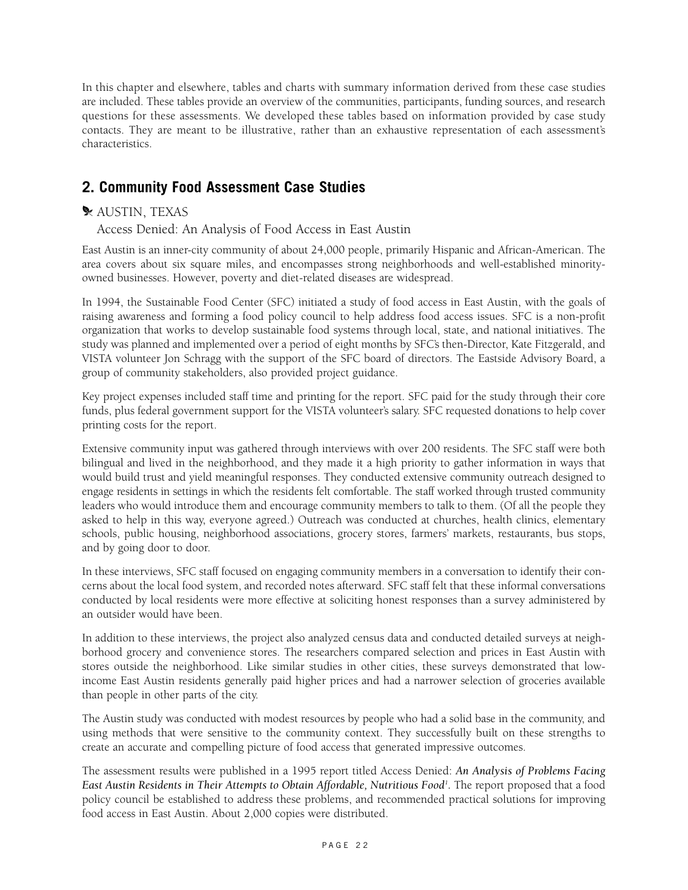In this chapter and elsewhere, tables and charts with summary information derived from these case studies are included. These tables provide an overview of the communities, participants, funding sources, and research questions for these assessments. We developed these tables based on information provided by case study contacts. They are meant to be illustrative, rather than an exhaustive representation of each assessment's characteristics.

# **2. Community Food Assessment Case Studies**

# \* AUSTIN, TEXAS

Access Denied: An Analysis of Food Access in East Austin

East Austin is an inner-city community of about 24,000 people, primarily Hispanic and African-American. The area covers about six square miles, and encompasses strong neighborhoods and well-established minorityowned businesses. However, poverty and diet-related diseases are widespread.

In 1994, the Sustainable Food Center (SFC) initiated a study of food access in East Austin, with the goals of raising awareness and forming a food policy council to help address food access issues. SFC is a non-profit organization that works to develop sustainable food systems through local, state, and national initiatives. The study was planned and implemented over a period of eight months by SFC's then-Director, Kate Fitzgerald, and VISTA volunteer Jon Schragg with the support of the SFC board of directors. The Eastside Advisory Board, a group of community stakeholders, also provided project guidance.

Key project expenses included staff time and printing for the report. SFC paid for the study through their core funds, plus federal government support for the VISTA volunteer's salary. SFC requested donations to help cover printing costs for the report.

Extensive community input was gathered through interviews with over 200 residents. The SFC staff were both bilingual and lived in the neighborhood, and they made it a high priority to gather information in ways that would build trust and yield meaningful responses. They conducted extensive community outreach designed to engage residents in settings in which the residents felt comfortable. The staff worked through trusted community leaders who would introduce them and encourage community members to talk to them. (Of all the people they asked to help in this way, everyone agreed.) Outreach was conducted at churches, health clinics, elementary schools, public housing, neighborhood associations, grocery stores, farmers' markets, restaurants, bus stops, and by going door to door.

In these interviews, SFC staff focused on engaging community members in a conversation to identify their concerns about the local food system, and recorded notes afterward. SFC staff felt that these informal conversations conducted by local residents were more effective at soliciting honest responses than a survey administered by an outsider would have been.

In addition to these interviews, the project also analyzed census data and conducted detailed surveys at neighborhood grocery and convenience stores. The researchers compared selection and prices in East Austin with stores outside the neighborhood. Like similar studies in other cities, these surveys demonstrated that lowincome East Austin residents generally paid higher prices and had a narrower selection of groceries available than people in other parts of the city.

The Austin study was conducted with modest resources by people who had a solid base in the community, and using methods that were sensitive to the community context. They successfully built on these strengths to create an accurate and compelling picture of food access that generated impressive outcomes.

The assessment results were published in a 1995 report titled Access Denied: *An Analysis of Problems Facing East Austin Residents in Their Attempts to Obtain Affordable, Nutritious Food1 .* The report proposed that a food policy council be established to address these problems, and recommended practical solutions for improving food access in East Austin. About 2,000 copies were distributed.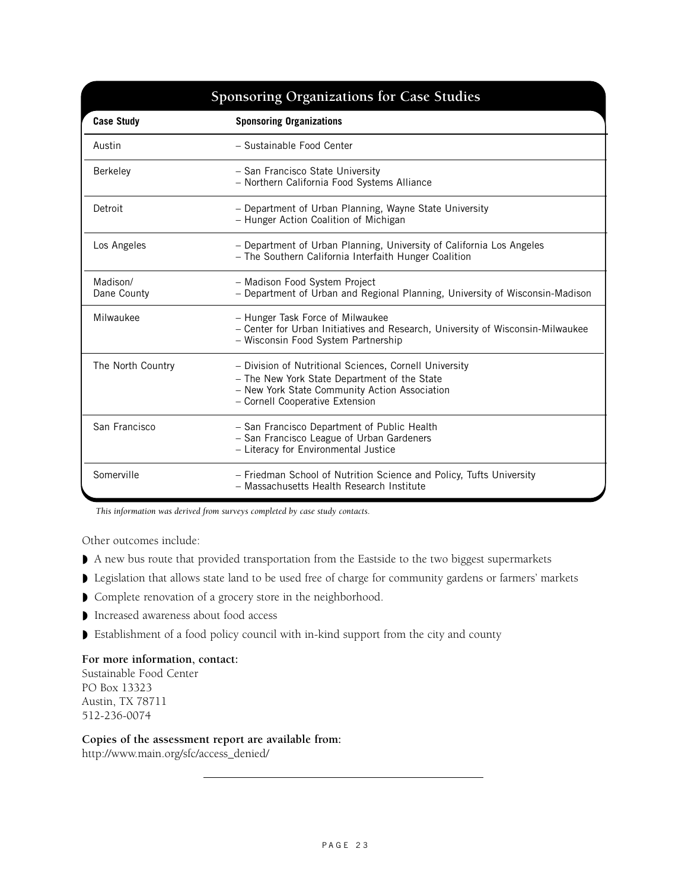# **Case Study Sponsoring Organizations** Austin – Sustainable Food Center Berkeley – San Francisco State University – Northern California Food Systems Alliance Detroit – Department of Urban Planning, Wayne State University – Hunger Action Coalition of Michigan Los Angeles – Department of Urban Planning, University of California Los Angeles – The Southern California Interfaith Hunger Coalition Madison/ – Madison Food System Project Dane County – Department of Urban and Regional Planning, University of Wisconsin-Madison Milwaukee – Hunger Task Force of Milwaukee – Center for Urban Initiatives and Research, University of Wisconsin-Milwaukee – Wisconsin Food System Partnership The North Country – Division of Nutritional Sciences, Cornell University – The New York State Department of the State – New York State Community Action Association – Cornell Cooperative Extension San Francisco – San Francisco Department of Public Health – San Francisco League of Urban Gardeners – Literacy for Environmental Justice Somerville **Example 19 - Friedman School of Nutrition Science and Policy, Tufts University** – Massachusetts Health Research Institute **Sponsoring Organizations for Case Studies**

*This information was derived from surveys completed by case study contacts.* 

Other outcomes include:

- ◗ A new bus route that provided transportation from the Eastside to the two biggest supermarkets
- ◗ Legislation that allows state land to be used free of charge for community gardens or farmers' markets
- ◗ Complete renovation of a grocery store in the neighborhood.
- ◗ Increased awareness about food access
- ◗ Establishment of a food policy council with in-kind support from the city and county

#### **For more information, contact:**

Sustainable Food Center PO Box 13323 Austin, TX 78711 512-236-0074

#### **Copies of the assessment report are available from:**

http://www.main.org/sfc/access\_denied/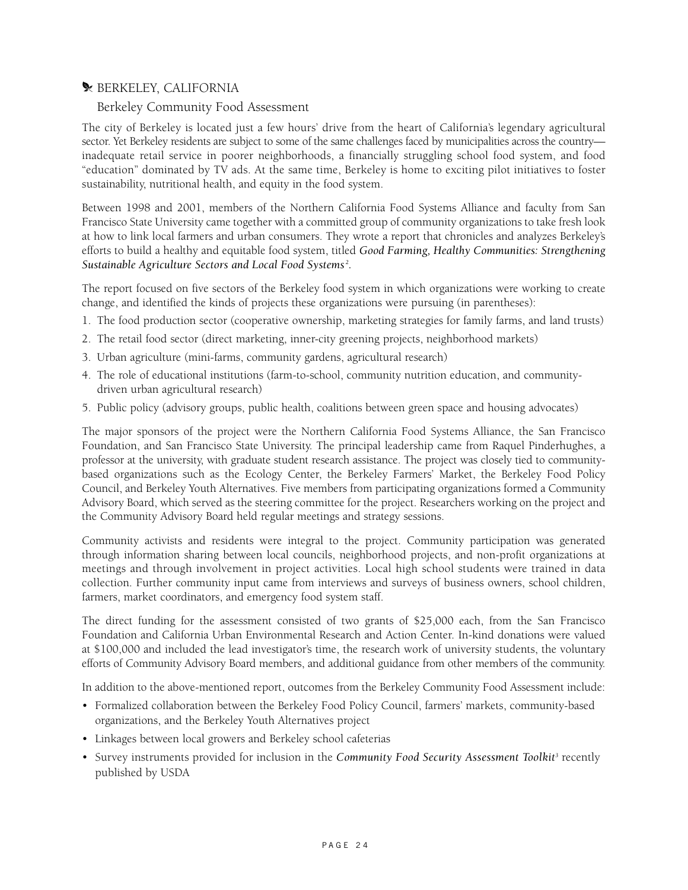# **\* BERKELEY, CALIFORNIA**

#### Berkeley Community Food Assessment

The city of Berkeley is located just a few hours' drive from the heart of California's legendary agricultural sector. Yet Berkeley residents are subject to some of the same challenges faced by municipalities across the country inadequate retail service in poorer neighborhoods, a financially struggling school food system, and food "education" dominated by TV ads. At the same time, Berkeley is home to exciting pilot initiatives to foster sustainability, nutritional health, and equity in the food system.

Between 1998 and 2001, members of the Northern California Food Systems Alliance and faculty from San Francisco State University came together with a committed group of community organizations to take fresh look at how to link local farmers and urban consumers. They wrote a report that chronicles and analyzes Berkeley's efforts to build a healthy and equitable food system, titled *Good Farming, Healthy Communities: Strengthening Sustainable Agriculture Sectors and Local Food Systems <sup>2</sup> .*

The report focused on five sectors of the Berkeley food system in which organizations were working to create change, and identified the kinds of projects these organizations were pursuing (in parentheses):

- 1. The food production sector (cooperative ownership, marketing strategies for family farms, and land trusts)
- 2. The retail food sector (direct marketing, inner-city greening projects, neighborhood markets)
- 3. Urban agriculture (mini-farms, community gardens, agricultural research)
- 4. The role of educational institutions (farm-to-school, community nutrition education, and communitydriven urban agricultural research)
- 5. Public policy (advisory groups, public health, coalitions between green space and housing advocates)

The major sponsors of the project were the Northern California Food Systems Alliance, the San Francisco Foundation, and San Francisco State University. The principal leadership came from Raquel Pinderhughes, a professor at the university, with graduate student research assistance. The project was closely tied to communitybased organizations such as the Ecology Center, the Berkeley Farmers' Market, the Berkeley Food Policy Council, and Berkeley Youth Alternatives. Five members from participating organizations formed a Community Advisory Board, which served as the steering committee for the project. Researchers working on the project and the Community Advisory Board held regular meetings and strategy sessions.

Community activists and residents were integral to the project. Community participation was generated through information sharing between local councils, neighborhood projects, and non-profit organizations at meetings and through involvement in project activities. Local high school students were trained in data collection. Further community input came from interviews and surveys of business owners, school children, farmers, market coordinators, and emergency food system staff.

The direct funding for the assessment consisted of two grants of \$25,000 each, from the San Francisco Foundation and California Urban Environmental Research and Action Center. In-kind donations were valued at \$100,000 and included the lead investigator's time, the research work of university students, the voluntary efforts of Community Advisory Board members, and additional guidance from other members of the community.

In addition to the above-mentioned report, outcomes from the Berkeley Community Food Assessment include:

- Formalized collaboration between the Berkeley Food Policy Council, farmers' markets, community-based organizations, and the Berkeley Youth Alternatives project
- Linkages between local growers and Berkeley school cafeterias
- Survey instruments provided for inclusion in the *Community Food Security Assessment Toolkit3* recently published by USDA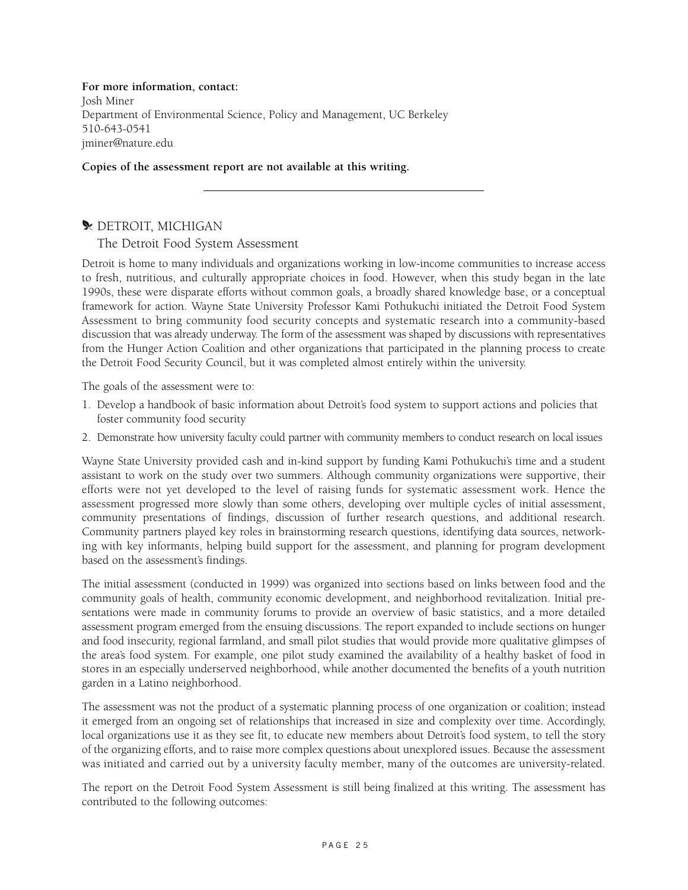**For more information, contact:**  Josh Miner Department of Environmental Science, Policy and Management, UC Berkeley 510-643-0541 jminer@nature.edu

**Copies of the assessment report are not available at this writing.**

#### **WETROIT, MICHIGAN**

The Detroit Food System Assessment

Detroit is home to many individuals and organizations working in low-income communities to increase access to fresh, nutritious, and culturally appropriate choices in food. However, when this study began in the late 1990s, these were disparate efforts without common goals, a broadly shared knowledge base, or a conceptual framework for action. Wayne State University Professor Kami Pothukuchi initiated the Detroit Food System Assessment to bring community food security concepts and systematic research into a community-based discussion that was already underway. The form of the assessment was shaped by discussions with representatives from the Hunger Action Coalition and other organizations that participated in the planning process to create the Detroit Food Security Council, but it was completed almost entirely within the university.

The goals of the assessment were to:

- 1. Develop a handbook of basic information about Detroit's food system to support actions and policies that foster community food security
- 2. Demonstrate how university faculty could partner with community members to conduct research on local issues

Wayne State University provided cash and in-kind support by funding Kami Pothukuchi's time and a student assistant to work on the study over two summers. Although community organizations were supportive, their efforts were not yet developed to the level of raising funds for systematic assessment work. Hence the assessment progressed more slowly than some others, developing over multiple cycles of initial assessment, community presentations of findings, discussion of further research questions, and additional research. Community partners played key roles in brainstorming research questions, identifying data sources, networking with key informants, helping build support for the assessment, and planning for program development based on the assessment's findings.

The initial assessment (conducted in 1999) was organized into sections based on links between food and the community goals of health, community economic development, and neighborhood revitalization. Initial presentations were made in community forums to provide an overview of basic statistics, and a more detailed assessment program emerged from the ensuing discussions. The report expanded to include sections on hunger and food insecurity, regional farmland, and small pilot studies that would provide more qualitative glimpses of the area's food system. For example, one pilot study examined the availability of a healthy basket of food in stores in an especially underserved neighborhood, while another documented the benefits of a youth nutrition garden in a Latino neighborhood.

The assessment was not the product of a systematic planning process of one organization or coalition; instead it emerged from an ongoing set of relationships that increased in size and complexity over time. Accordingly, local organizations use it as they see fit, to educate new members about Detroit's food system, to tell the story of the organizing efforts, and to raise more complex questions about unexplored issues. Because the assessment was initiated and carried out by a university faculty member, many of the outcomes are university-related.

The report on the Detroit Food System Assessment is still being finalized at this writing. The assessment has contributed to the following outcomes: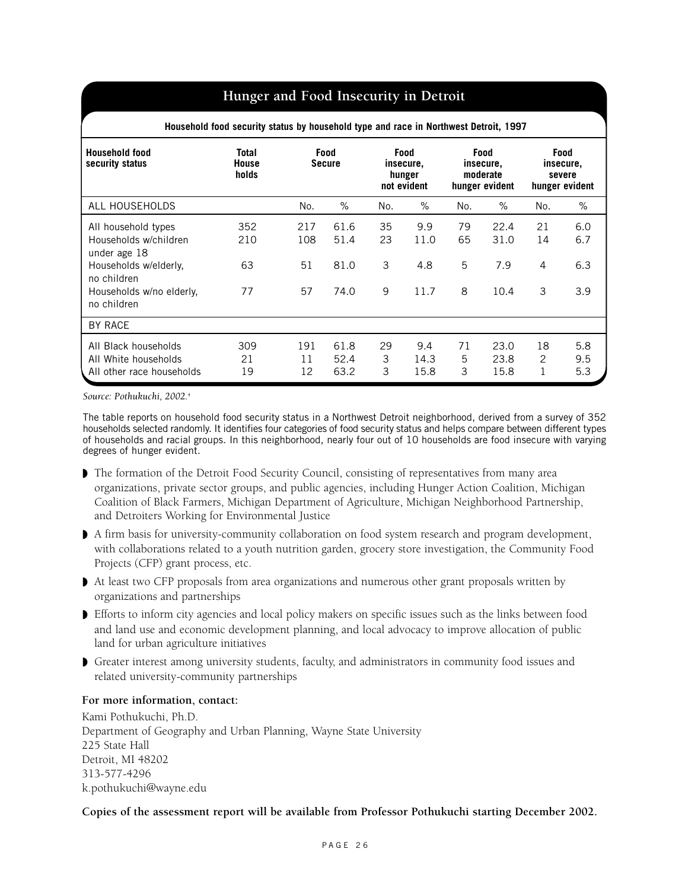# **Hunger and Food Insecurity in Detroit**

| Household food security status by household type and race in Northwest Detroit, 1997                                                            |                                |                        |                              |                    |                                                   |                    |                                                        |                    |                                               |
|-------------------------------------------------------------------------------------------------------------------------------------------------|--------------------------------|------------------------|------------------------------|--------------------|---------------------------------------------------|--------------------|--------------------------------------------------------|--------------------|-----------------------------------------------|
| <b>Household food</b><br>security status                                                                                                        | Total<br><b>House</b><br>holds |                        | Food<br><b>Secure</b>        |                    | <b>Food</b><br>insecure,<br>hunger<br>not evident |                    | <b>Food</b><br>insecure,<br>moderate<br>hunger evident |                    | Food<br>insecure,<br>severe<br>hunger evident |
| ALL HOUSEHOLDS                                                                                                                                  |                                | No.                    | %                            | No.                | $\%$                                              | No.                | $\%$                                                   | No.                | %                                             |
| All household types<br>Households w/children<br>under age 18<br>Households w/elderly,<br>no children<br>Households w/no elderly,<br>no children | 352<br>210<br>63<br>77         | 217<br>108<br>51<br>57 | 61.6<br>51.4<br>81.0<br>74.0 | 35<br>23<br>3<br>9 | 9.9<br>11.0<br>4.8<br>11.7                        | 79<br>65<br>5<br>8 | 22.4<br>31.0<br>7.9<br>10.4                            | 21<br>14<br>4<br>3 | 6.0<br>6.7<br>6.3<br>3.9                      |
| <b>BY RACE</b>                                                                                                                                  |                                |                        |                              |                    |                                                   |                    |                                                        |                    |                                               |
| All Black households<br>All White households<br>All other race households                                                                       | 309<br>21<br>19                | 191<br>11<br>12        | 61.8<br>52.4<br>63.2         | 29<br>3<br>3       | 9.4<br>14.3<br>15.8                               | 71<br>5<br>3       | 23.0<br>23.8<br>15.8                                   | 18<br>2<br>1       | 5.8<br>9.5<br>5.3                             |

*Source: Pothukuchi, 2002.4*

The table reports on household food security status in a Northwest Detroit neighborhood, derived from a survey of 352 households selected randomly. It identifies four categories of food security status and helps compare between different types of households and racial groups. In this neighborhood, nearly four out of 10 households are food insecure with varying degrees of hunger evident.

- ◗ The formation of the Detroit Food Security Council, consisting of representatives from many area organizations, private sector groups, and public agencies, including Hunger Action Coalition, Michigan Coalition of Black Farmers, Michigan Department of Agriculture, Michigan Neighborhood Partnership, and Detroiters Working for Environmental Justice
- ◗ A firm basis for university-community collaboration on food system research and program development, with collaborations related to a youth nutrition garden, grocery store investigation, the Community Food Projects (CFP) grant process, etc.
- ◗ At least two CFP proposals from area organizations and numerous other grant proposals written by organizations and partnerships
- ◗ Efforts to inform city agencies and local policy makers on specific issues such as the links between food and land use and economic development planning, and local advocacy to improve allocation of public land for urban agriculture initiatives
- ◗ Greater interest among university students, faculty, and administrators in community food issues and related university-community partnerships

#### **For more information, contact:**

Kami Pothukuchi, Ph.D. Department of Geography and Urban Planning, Wayne State University 225 State Hall Detroit, MI 48202 313-577-4296 k.pothukuchi@wayne.edu

#### **Copies of the assessment report will be available from Professor Pothukuchi starting December 2002.**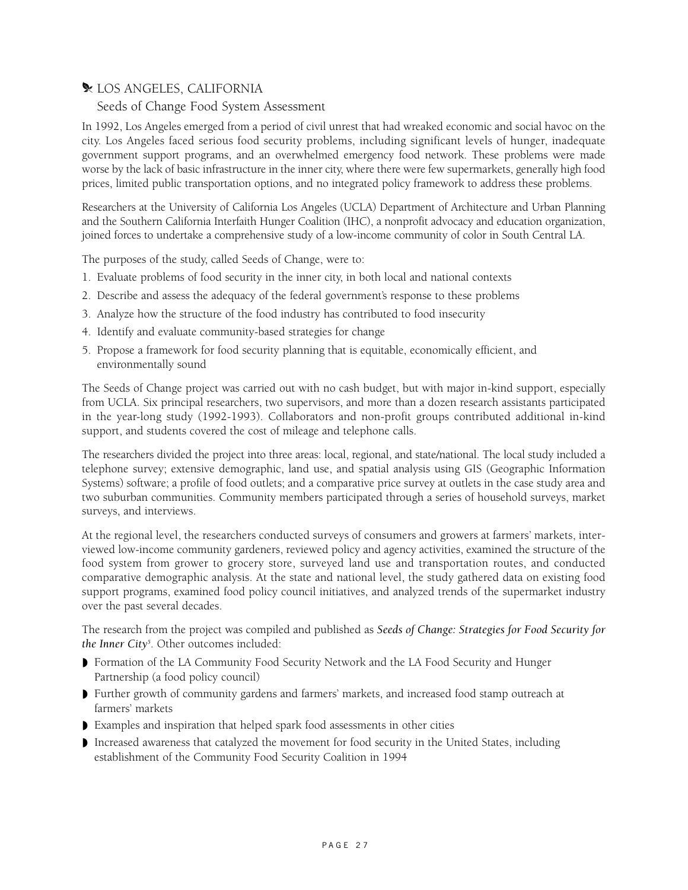# **X** LOS ANGELES, CALIFORNIA

#### Seeds of Change Food System Assessment

In 1992, Los Angeles emerged from a period of civil unrest that had wreaked economic and social havoc on the city. Los Angeles faced serious food security problems, including significant levels of hunger, inadequate government support programs, and an overwhelmed emergency food network. These problems were made worse by the lack of basic infrastructure in the inner city, where there were few supermarkets, generally high food prices, limited public transportation options, and no integrated policy framework to address these problems.

Researchers at the University of California Los Angeles (UCLA) Department of Architecture and Urban Planning and the Southern California Interfaith Hunger Coalition (IHC), a nonprofit advocacy and education organization, joined forces to undertake a comprehensive study of a low-income community of color in South Central LA.

The purposes of the study, called Seeds of Change, were to:

- 1. Evaluate problems of food security in the inner city, in both local and national contexts
- 2. Describe and assess the adequacy of the federal government's response to these problems
- 3. Analyze how the structure of the food industry has contributed to food insecurity
- 4. Identify and evaluate community-based strategies for change
- 5. Propose a framework for food security planning that is equitable, economically efficient, and environmentally sound

The Seeds of Change project was carried out with no cash budget, but with major in-kind support, especially from UCLA. Six principal researchers, two supervisors, and more than a dozen research assistants participated in the year-long study (1992-1993). Collaborators and non-profit groups contributed additional in-kind support, and students covered the cost of mileage and telephone calls.

The researchers divided the project into three areas: local, regional, and state/national. The local study included a telephone survey; extensive demographic, land use, and spatial analysis using GIS (Geographic Information Systems) software; a profile of food outlets; and a comparative price survey at outlets in the case study area and two suburban communities. Community members participated through a series of household surveys, market surveys, and interviews.

At the regional level, the researchers conducted surveys of consumers and growers at farmers' markets, interviewed low-income community gardeners, reviewed policy and agency activities, examined the structure of the food system from grower to grocery store, surveyed land use and transportation routes, and conducted comparative demographic analysis. At the state and national level, the study gathered data on existing food support programs, examined food policy council initiatives, and analyzed trends of the supermarket industry over the past several decades.

The research from the project was compiled and published as *Seeds of Change: Strategies for Food Security for the Inner City5* . Other outcomes included:

- ◗ Formation of the LA Community Food Security Network and the LA Food Security and Hunger Partnership (a food policy council)
- ◗ Further growth of community gardens and farmers' markets, and increased food stamp outreach at farmers' markets
- ◗ Examples and inspiration that helped spark food assessments in other cities
- ◗ Increased awareness that catalyzed the movement for food security in the United States, including establishment of the Community Food Security Coalition in 1994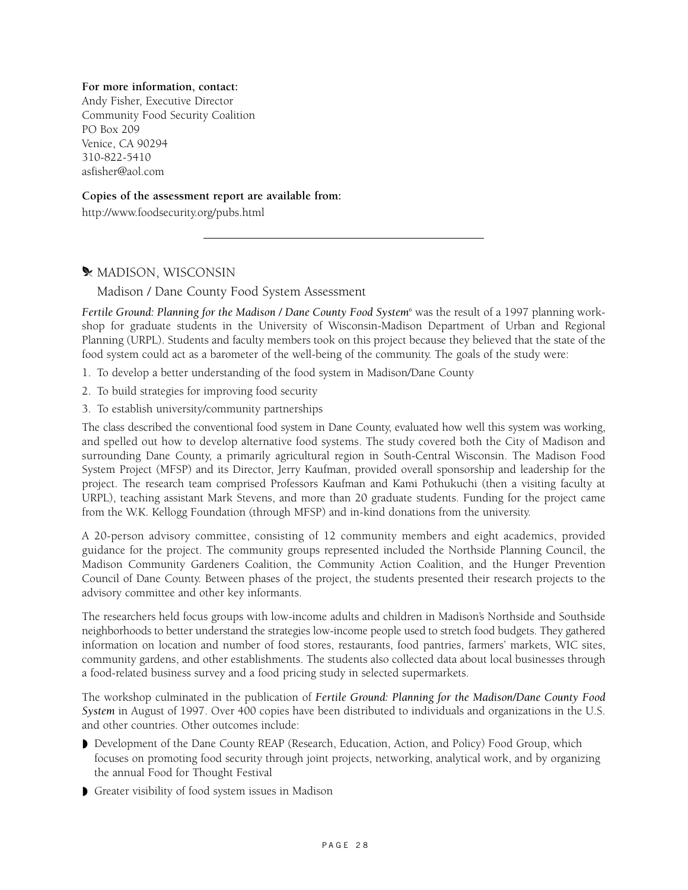#### **For more information, contact:**

Andy Fisher, Executive Director Community Food Security Coalition PO Box 209 Venice, CA 90294 310-822-5410 asfisher@aol.com

#### **Copies of the assessment report are available from:**

http://www.foodsecurity.org/pubs.html

# **\* MADISON, WISCONSIN**

#### Madison / Dane County Food System Assessment

Fertile Ground: Planning for the Madison / Dane County Food System<sup>6</sup> was the result of a 1997 planning workshop for graduate students in the University of Wisconsin-Madison Department of Urban and Regional Planning (URPL). Students and faculty members took on this project because they believed that the state of the food system could act as a barometer of the well-being of the community. The goals of the study were:

- 1. To develop a better understanding of the food system in Madison/Dane County
- 2. To build strategies for improving food security
- 3. To establish university/community partnerships

The class described the conventional food system in Dane County, evaluated how well this system was working, and spelled out how to develop alternative food systems. The study covered both the City of Madison and surrounding Dane County, a primarily agricultural region in South-Central Wisconsin. The Madison Food System Project (MFSP) and its Director, Jerry Kaufman, provided overall sponsorship and leadership for the project. The research team comprised Professors Kaufman and Kami Pothukuchi (then a visiting faculty at URPL), teaching assistant Mark Stevens, and more than 20 graduate students. Funding for the project came from the W.K. Kellogg Foundation (through MFSP) and in-kind donations from the university.

A 20-person advisory committee, consisting of 12 community members and eight academics, provided guidance for the project. The community groups represented included the Northside Planning Council, the Madison Community Gardeners Coalition, the Community Action Coalition, and the Hunger Prevention Council of Dane County. Between phases of the project, the students presented their research projects to the advisory committee and other key informants.

The researchers held focus groups with low-income adults and children in Madison's Northside and Southside neighborhoods to better understand the strategies low-income people used to stretch food budgets. They gathered information on location and number of food stores, restaurants, food pantries, farmers' markets, WIC sites, community gardens, and other establishments. The students also collected data about local businesses through a food-related business survey and a food pricing study in selected supermarkets.

The workshop culminated in the publication of *Fertile Ground: Planning for the Madison/Dane County Food System* in August of 1997. Over 400 copies have been distributed to individuals and organizations in the U.S. and other countries. Other outcomes include:

- ◗ Development of the Dane County REAP (Research, Education, Action, and Policy) Food Group, which focuses on promoting food security through joint projects, networking, analytical work, and by organizing the annual Food for Thought Festival
- ◗ Greater visibility of food system issues in Madison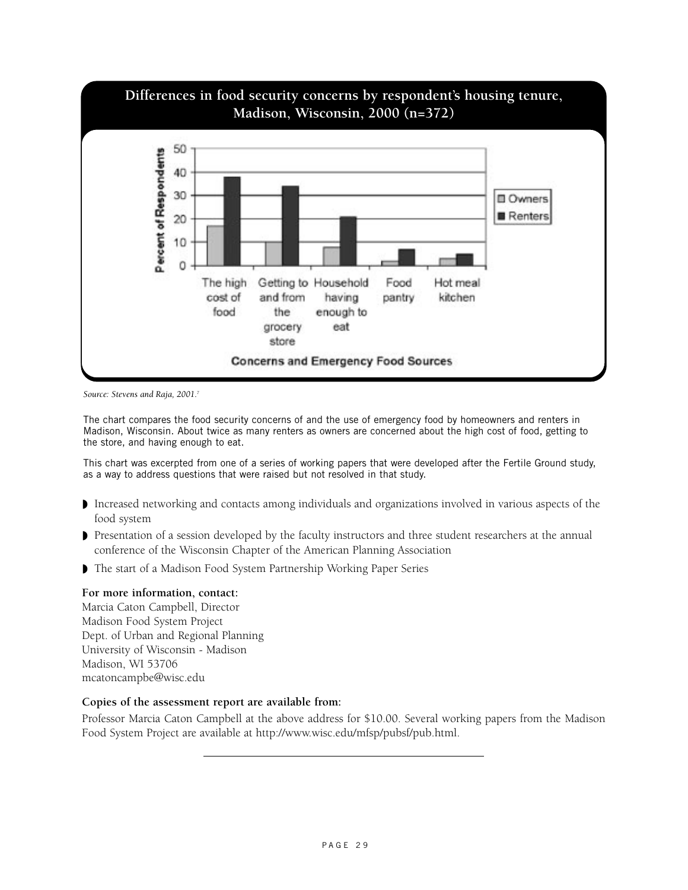

*Source: Stevens and Raja, 2001.7*

The chart compares the food security concerns of and the use of emergency food by homeowners and renters in Madison, Wisconsin. About twice as many renters as owners are concerned about the high cost of food, getting to the store, and having enough to eat.

This chart was excerpted from one of a series of working papers that were developed after the Fertile Ground study, as a way to address questions that were raised but not resolved in that study.

- ◗ Increased networking and contacts among individuals and organizations involved in various aspects of the food system
- ◗ Presentation of a session developed by the faculty instructors and three student researchers at the annual conference of the Wisconsin Chapter of the American Planning Association
- ◗ The start of a Madison Food System Partnership Working Paper Series

#### **For more information, contact:**

Marcia Caton Campbell, Director Madison Food System Project Dept. of Urban and Regional Planning University of Wisconsin - Madison Madison, WI 53706 mcatoncampbe@wisc.edu

#### **Copies of the assessment report are available from:**

Professor Marcia Caton Campbell at the above address for \$10.00. Several working papers from the Madison Food System Project are available at http://www.wisc.edu/mfsp/pubsf/pub.html.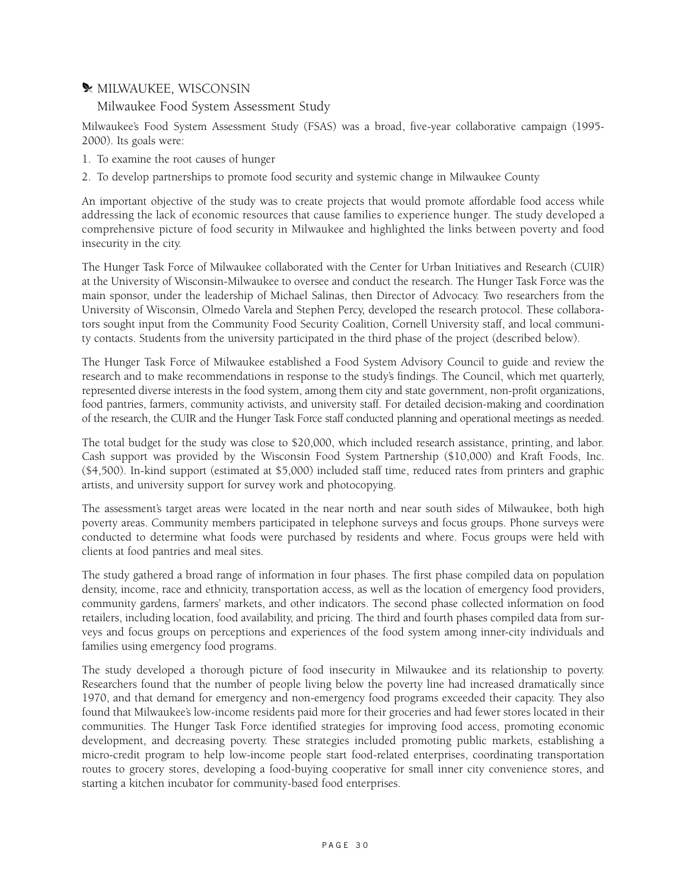#### $\blacktriangleright$  MILWAUKEE, WISCONSIN

Milwaukee Food System Assessment Study

Milwaukee's Food System Assessment Study (FSAS) was a broad, five-year collaborative campaign (1995- 2000). Its goals were:

- 1. To examine the root causes of hunger
- 2. To develop partnerships to promote food security and systemic change in Milwaukee County

An important objective of the study was to create projects that would promote affordable food access while addressing the lack of economic resources that cause families to experience hunger. The study developed a comprehensive picture of food security in Milwaukee and highlighted the links between poverty and food insecurity in the city.

The Hunger Task Force of Milwaukee collaborated with the Center for Urban Initiatives and Research (CUIR) at the University of Wisconsin-Milwaukee to oversee and conduct the research. The Hunger Task Force was the main sponsor, under the leadership of Michael Salinas, then Director of Advocacy. Two researchers from the University of Wisconsin, Olmedo Varela and Stephen Percy, developed the research protocol. These collaborators sought input from the Community Food Security Coalition, Cornell University staff, and local community contacts. Students from the university participated in the third phase of the project (described below).

The Hunger Task Force of Milwaukee established a Food System Advisory Council to guide and review the research and to make recommendations in response to the study's findings. The Council, which met quarterly, represented diverse interests in the food system, among them city and state government, non-profit organizations, food pantries, farmers, community activists, and university staff. For detailed decision-making and coordination of the research, the CUIR and the Hunger Task Force staff conducted planning and operational meetings as needed.

The total budget for the study was close to \$20,000, which included research assistance, printing, and labor. Cash support was provided by the Wisconsin Food System Partnership (\$10,000) and Kraft Foods, Inc. (\$4,500). In-kind support (estimated at \$5,000) included staff time, reduced rates from printers and graphic artists, and university support for survey work and photocopying.

The assessment's target areas were located in the near north and near south sides of Milwaukee, both high poverty areas. Community members participated in telephone surveys and focus groups. Phone surveys were conducted to determine what foods were purchased by residents and where. Focus groups were held with clients at food pantries and meal sites.

The study gathered a broad range of information in four phases. The first phase compiled data on population density, income, race and ethnicity, transportation access, as well as the location of emergency food providers, community gardens, farmers' markets, and other indicators. The second phase collected information on food retailers, including location, food availability, and pricing. The third and fourth phases compiled data from surveys and focus groups on perceptions and experiences of the food system among inner-city individuals and families using emergency food programs.

The study developed a thorough picture of food insecurity in Milwaukee and its relationship to poverty. Researchers found that the number of people living below the poverty line had increased dramatically since 1970, and that demand for emergency and non-emergency food programs exceeded their capacity. They also found that Milwaukee's low-income residents paid more for their groceries and had fewer stores located in their communities. The Hunger Task Force identified strategies for improving food access, promoting economic development, and decreasing poverty. These strategies included promoting public markets, establishing a micro-credit program to help low-income people start food-related enterprises, coordinating transportation routes to grocery stores, developing a food-buying cooperative for small inner city convenience stores, and starting a kitchen incubator for community-based food enterprises.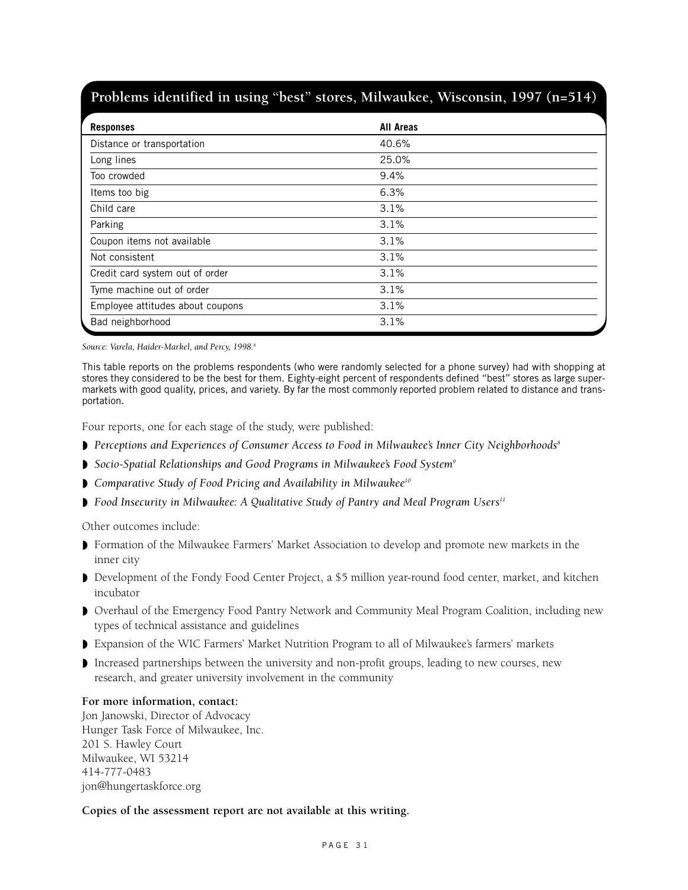# **Problems identified in using "best" stores, Milwaukee, Wisconsin, 1997 (n=514)**

| <b>Responses</b>                 | <b>All Areas</b> |  |
|----------------------------------|------------------|--|
| Distance or transportation       | 40.6%            |  |
| Long lines                       | 25.0%            |  |
| Too crowded                      | 9.4%             |  |
| Items too big                    | 6.3%             |  |
| Child care                       | 3.1%             |  |
| Parking                          | 3.1%             |  |
| Coupon items not available       | 3.1%             |  |
| Not consistent                   | 3.1%             |  |
| Credit card system out of order  | 3.1%             |  |
| Tyme machine out of order        | 3.1%             |  |
| Employee attitudes about coupons | 3.1%             |  |
| Bad neighborhood                 | 3.1%             |  |

Source: Varela, Haider-Markel, and Percy, 1998.<sup>8</sup>

This table reports on the problems respondents (who were randomly selected for a phone survey) had with shopping at stores they considered to be the best for them. Eighty-eight percent of respondents defined "best" stores as large supermarkets with good quality, prices, and variety. By far the most commonly reported problem related to distance and transportation.

Four reports, one for each stage of the study, were published:

- ◗ *Perceptions and Experiences of Consumer Access to Food in Milwaukee's Inner City Neighborhoods8*
- ◗ *Socio-Spatial Relationships and Good Programs in Milwaukee's Food System9*
- ◗ *Comparative Study of Food Pricing and Availability in Milwaukee10*
- ◗ *Food Insecurity in Milwaukee: A Qualitative Study of Pantry and Meal Program Users11*

Other outcomes include:

- ◗ Formation of the Milwaukee Farmers' Market Association to develop and promote new markets in the inner city
- ◗ Development of the Fondy Food Center Project, a \$5 million year-round food center, market, and kitchen incubator
- ◗ Overhaul of the Emergency Food Pantry Network and Community Meal Program Coalition, including new types of technical assistance and guidelines
- ◗ Expansion of the WIC Farmers' Market Nutrition Program to all of Milwaukee's farmers' markets
- ◗ Increased partnerships between the university and non-profit groups, leading to new courses, new research, and greater university involvement in the community

#### **For more information, contact:**

Jon Janowski, Director of Advocacy Hunger Task Force of Milwaukee, Inc. 201 S. Hawley Court Milwaukee, WI 53214 414-777-0483 jon@hungertaskforce.org

#### **Copies of the assessment report are not available at this writing.**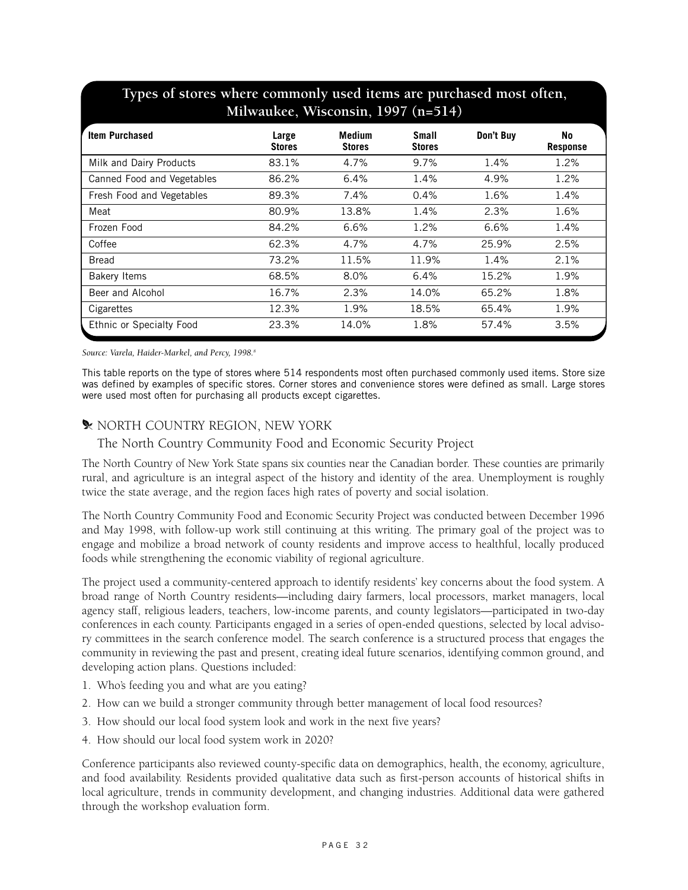|                            | Milwaukee, Wisconsin, 1997 (n=514) |                                |                               |           |                       |
|----------------------------|------------------------------------|--------------------------------|-------------------------------|-----------|-----------------------|
| <b>Item Purchased</b>      | Large<br><b>Stores</b>             | <b>Medium</b><br><b>Stores</b> | <b>Small</b><br><b>Stores</b> | Don't Buy | No<br><b>Response</b> |
| Milk and Dairy Products    | 83.1%                              | 4.7%                           | 9.7%                          | 1.4%      | 1.2%                  |
| Canned Food and Vegetables | 86.2%                              | 6.4%                           | 1.4%                          | 4.9%      | 1.2%                  |
| Fresh Food and Vegetables  | 89.3%                              | 7.4%                           | 0.4%                          | 1.6%      | 1.4%                  |
| Meat                       | 80.9%                              | 13.8%                          | 1.4%                          | 2.3%      | 1.6%                  |
| Frozen Food                | 84.2%                              | 6.6%                           | 1.2%                          | 6.6%      | 1.4%                  |
| Coffee                     | 62.3%                              | 4.7%                           | 4.7%                          | 25.9%     | 2.5%                  |
| <b>Bread</b>               | 73.2%                              | 11.5%                          | 11.9%                         | 1.4%      | 2.1%                  |
| <b>Bakery Items</b>        | 68.5%                              | 8.0%                           | 6.4%                          | 15.2%     | 1.9%                  |
| Beer and Alcohol           | 16.7%                              | 2.3%                           | 14.0%                         | 65.2%     | 1.8%                  |
| Cigarettes                 | 12.3%                              | 1.9%                           | 18.5%                         | 65.4%     | 1.9%                  |
| Ethnic or Specialty Food   | 23.3%                              | 14.0%                          | 1.8%                          | 57.4%     | 3.5%                  |

# **Types of stores where commonly used items are purchased most often,**

Source: Varela, Haider-Markel, and Percy, 1998.<sup>8</sup>

This table reports on the type of stores where 514 respondents most often purchased commonly used items. Store size was defined by examples of specific stores. Corner stores and convenience stores were defined as small. Large stores were used most often for purchasing all products except cigarettes.

#### **W NORTH COUNTRY REGION, NEW YORK**

The North Country Community Food and Economic Security Project

The North Country of New York State spans six counties near the Canadian border. These counties are primarily rural, and agriculture is an integral aspect of the history and identity of the area. Unemployment is roughly twice the state average, and the region faces high rates of poverty and social isolation.

The North Country Community Food and Economic Security Project was conducted between December 1996 and May 1998, with follow-up work still continuing at this writing. The primary goal of the project was to engage and mobilize a broad network of county residents and improve access to healthful, locally produced foods while strengthening the economic viability of regional agriculture.

The project used a community-centered approach to identify residents' key concerns about the food system. A broad range of North Country residents—including dairy farmers, local processors, market managers, local agency staff, religious leaders, teachers, low-income parents, and county legislators—participated in two-day conferences in each county. Participants engaged in a series of open-ended questions, selected by local advisory committees in the search conference model. The search conference is a structured process that engages the community in reviewing the past and present, creating ideal future scenarios, identifying common ground, and developing action plans. Questions included:

- 1. Who's feeding you and what are you eating?
- 2. How can we build a stronger community through better management of local food resources?
- 3. How should our local food system look and work in the next five years?
- 4. How should our local food system work in 2020?

Conference participants also reviewed county-specific data on demographics, health, the economy, agriculture, and food availability. Residents provided qualitative data such as first-person accounts of historical shifts in local agriculture, trends in community development, and changing industries. Additional data were gathered through the workshop evaluation form.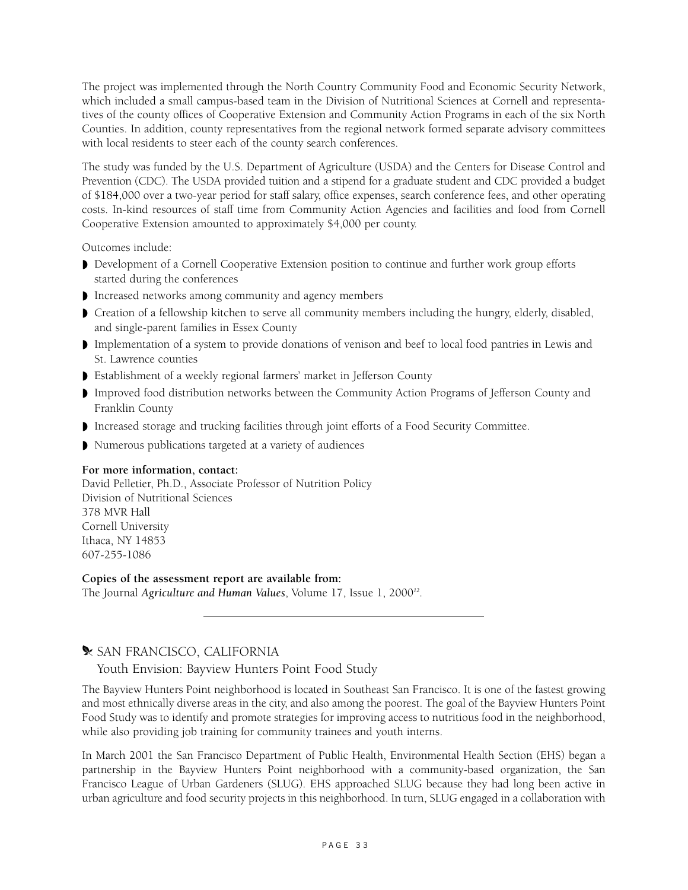The project was implemented through the North Country Community Food and Economic Security Network, which included a small campus-based team in the Division of Nutritional Sciences at Cornell and representatives of the county offices of Cooperative Extension and Community Action Programs in each of the six North Counties. In addition, county representatives from the regional network formed separate advisory committees with local residents to steer each of the county search conferences.

The study was funded by the U.S. Department of Agriculture (USDA) and the Centers for Disease Control and Prevention (CDC). The USDA provided tuition and a stipend for a graduate student and CDC provided a budget of \$184,000 over a two-year period for staff salary, office expenses, search conference fees, and other operating costs. In-kind resources of staff time from Community Action Agencies and facilities and food from Cornell Cooperative Extension amounted to approximately \$4,000 per county.

Outcomes include:

- ◗ Development of a Cornell Cooperative Extension position to continue and further work group efforts started during the conferences
- ◗ Increased networks among community and agency members
- ◗ Creation of a fellowship kitchen to serve all community members including the hungry, elderly, disabled, and single-parent families in Essex County
- ◗ Implementation of a system to provide donations of venison and beef to local food pantries in Lewis and St. Lawrence counties
- ◗ Establishment of a weekly regional farmers' market in Jefferson County
- ◗ Improved food distribution networks between the Community Action Programs of Jefferson County and Franklin County
- ◗ Increased storage and trucking facilities through joint efforts of a Food Security Committee.
- ◗ Numerous publications targeted at a variety of audiences

#### **For more information, contact:**

David Pelletier, Ph.D., Associate Professor of Nutrition Policy Division of Nutritional Sciences 378 MVR Hall Cornell University Ithaca, NY 14853 607-255-1086

**Copies of the assessment report are available from:**  The Journal *Agriculture and Human Values*, Volume 17, Issue 1, 2000*12*.

# **X** SAN FRANCISCO, CALIFORNIA

Youth Envision: Bayview Hunters Point Food Study

The Bayview Hunters Point neighborhood is located in Southeast San Francisco. It is one of the fastest growing and most ethnically diverse areas in the city, and also among the poorest. The goal of the Bayview Hunters Point Food Study was to identify and promote strategies for improving access to nutritious food in the neighborhood, while also providing job training for community trainees and youth interns.

In March 2001 the San Francisco Department of Public Health, Environmental Health Section (EHS) began a partnership in the Bayview Hunters Point neighborhood with a community-based organization, the San Francisco League of Urban Gardeners (SLUG). EHS approached SLUG because they had long been active in urban agriculture and food security projects in this neighborhood. In turn, SLUG engaged in a collaboration with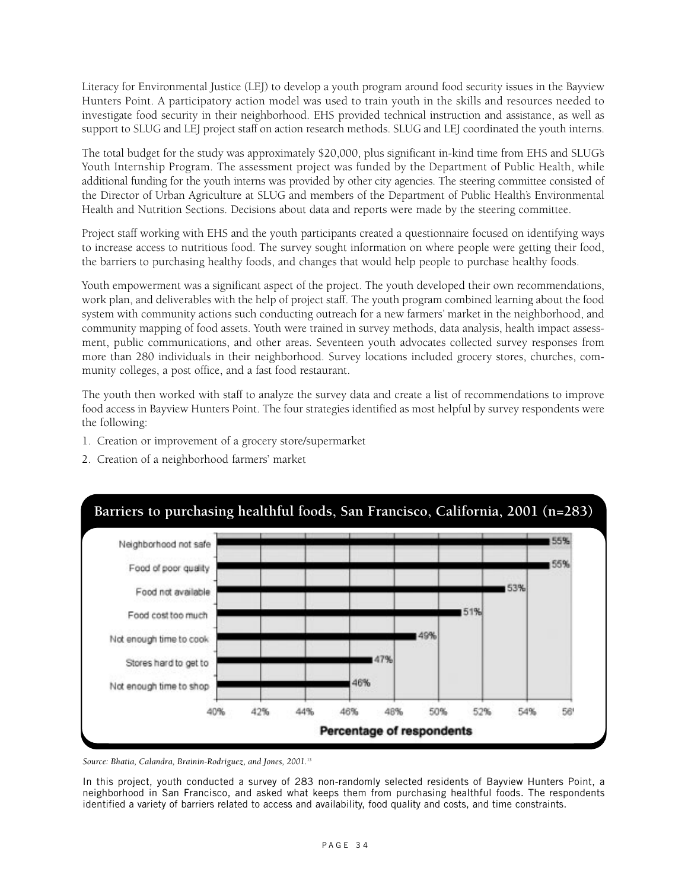Literacy for Environmental Justice (LEJ) to develop a youth program around food security issues in the Bayview Hunters Point. A participatory action model was used to train youth in the skills and resources needed to investigate food security in their neighborhood. EHS provided technical instruction and assistance, as well as support to SLUG and LEJ project staff on action research methods. SLUG and LEJ coordinated the youth interns.

The total budget for the study was approximately \$20,000, plus significant in-kind time from EHS and SLUG's Youth Internship Program. The assessment project was funded by the Department of Public Health, while additional funding for the youth interns was provided by other city agencies. The steering committee consisted of the Director of Urban Agriculture at SLUG and members of the Department of Public Health's Environmental Health and Nutrition Sections. Decisions about data and reports were made by the steering committee.

Project staff working with EHS and the youth participants created a questionnaire focused on identifying ways to increase access to nutritious food. The survey sought information on where people were getting their food, the barriers to purchasing healthy foods, and changes that would help people to purchase healthy foods.

Youth empowerment was a significant aspect of the project. The youth developed their own recommendations, work plan, and deliverables with the help of project staff. The youth program combined learning about the food system with community actions such conducting outreach for a new farmers' market in the neighborhood, and community mapping of food assets. Youth were trained in survey methods, data analysis, health impact assessment, public communications, and other areas. Seventeen youth advocates collected survey responses from more than 280 individuals in their neighborhood. Survey locations included grocery stores, churches, community colleges, a post office, and a fast food restaurant.

The youth then worked with staff to analyze the survey data and create a list of recommendations to improve food access in Bayview Hunters Point. The four strategies identified as most helpful by survey respondents were the following:

- 1. Creation or improvement of a grocery store/supermarket
- 2. Creation of a neighborhood farmers' market



*Source: Bhatia, Calandra, Brainin-Rodriguez, and Jones, 2001.13*

In this project, youth conducted a survey of 283 non-randomly selected residents of Bayview Hunters Point, a neighborhood in San Francisco, and asked what keeps them from purchasing healthful foods. The respondents identified a variety of barriers related to access and availability, food quality and costs, and time constraints.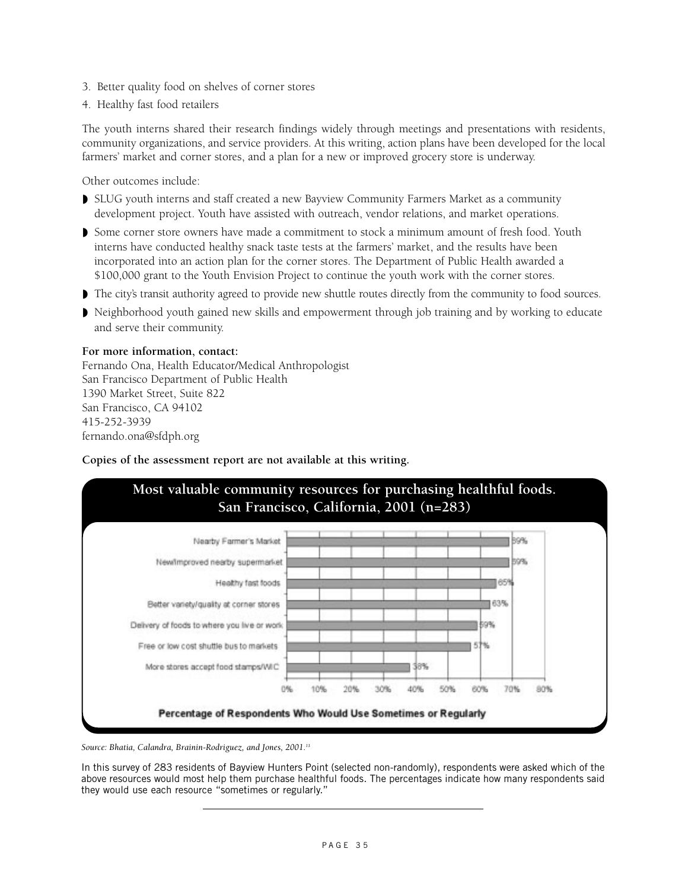- 3. Better quality food on shelves of corner stores
- 4. Healthy fast food retailers

The youth interns shared their research findings widely through meetings and presentations with residents, community organizations, and service providers. At this writing, action plans have been developed for the local farmers' market and corner stores, and a plan for a new or improved grocery store is underway.

Other outcomes include:

- ◗ SLUG youth interns and staff created a new Bayview Community Farmers Market as a community development project. Youth have assisted with outreach, vendor relations, and market operations.
- ◗ Some corner store owners have made a commitment to stock a minimum amount of fresh food. Youth interns have conducted healthy snack taste tests at the farmers' market, and the results have been incorporated into an action plan for the corner stores. The Department of Public Health awarded a \$100,000 grant to the Youth Envision Project to continue the youth work with the corner stores.
- ◗ The city's transit authority agreed to provide new shuttle routes directly from the community to food sources.
- ◗ Neighborhood youth gained new skills and empowerment through job training and by working to educate and serve their community.

#### **For more information, contact:**

Fernando Ona, Health Educator/Medical Anthropologist San Francisco Department of Public Health 1390 Market Street, Suite 822 San Francisco, CA 94102 415-252-3939 fernando.ona@sfdph.org

#### **Copies of the assessment report are not available at this writing.**



*Source: Bhatia, Calandra, Brainin-Rodriguez, and Jones, 2001.13*

In this survey of 283 residents of Bayview Hunters Point (selected non-randomly), respondents were asked which of the above resources would most help them purchase healthful foods. The percentages indicate how many respondents said they would use each resource "sometimes or regularly."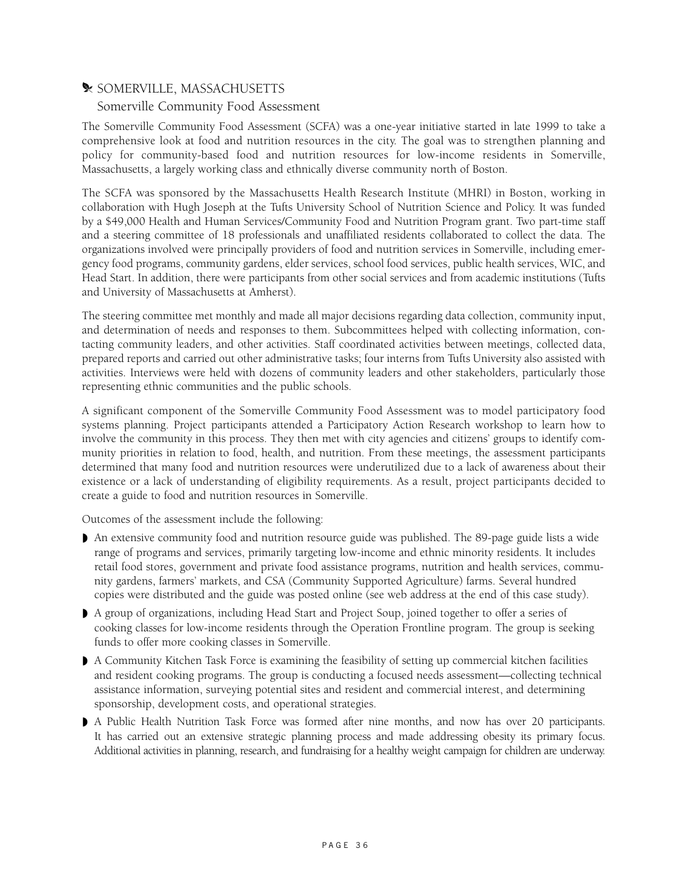#### **W** SOMERVILLE, MASSACHUSETTS

#### Somerville Community Food Assessment

The Somerville Community Food Assessment (SCFA) was a one-year initiative started in late 1999 to take a comprehensive look at food and nutrition resources in the city. The goal was to strengthen planning and policy for community-based food and nutrition resources for low-income residents in Somerville, Massachusetts, a largely working class and ethnically diverse community north of Boston.

The SCFA was sponsored by the Massachusetts Health Research Institute (MHRI) in Boston, working in collaboration with Hugh Joseph at the Tufts University School of Nutrition Science and Policy. It was funded by a \$49,000 Health and Human Services/Community Food and Nutrition Program grant. Two part-time staff and a steering committee of 18 professionals and unaffiliated residents collaborated to collect the data. The organizations involved were principally providers of food and nutrition services in Somerville, including emergency food programs, community gardens, elder services, school food services, public health services, WIC, and Head Start. In addition, there were participants from other social services and from academic institutions (Tufts and University of Massachusetts at Amherst).

The steering committee met monthly and made all major decisions regarding data collection, community input, and determination of needs and responses to them. Subcommittees helped with collecting information, contacting community leaders, and other activities. Staff coordinated activities between meetings, collected data, prepared reports and carried out other administrative tasks; four interns from Tufts University also assisted with activities. Interviews were held with dozens of community leaders and other stakeholders, particularly those representing ethnic communities and the public schools.

A significant component of the Somerville Community Food Assessment was to model participatory food systems planning. Project participants attended a Participatory Action Research workshop to learn how to involve the community in this process. They then met with city agencies and citizens' groups to identify community priorities in relation to food, health, and nutrition. From these meetings, the assessment participants determined that many food and nutrition resources were underutilized due to a lack of awareness about their existence or a lack of understanding of eligibility requirements. As a result, project participants decided to create a guide to food and nutrition resources in Somerville.

Outcomes of the assessment include the following:

- ◗ An extensive community food and nutrition resource guide was published. The 89-page guide lists a wide range of programs and services, primarily targeting low-income and ethnic minority residents. It includes retail food stores, government and private food assistance programs, nutrition and health services, community gardens, farmers' markets, and CSA (Community Supported Agriculture) farms. Several hundred copies were distributed and the guide was posted online (see web address at the end of this case study).
- ◗ A group of organizations, including Head Start and Project Soup, joined together to offer a series of cooking classes for low-income residents through the Operation Frontline program. The group is seeking funds to offer more cooking classes in Somerville.
- ◗ A Community Kitchen Task Force is examining the feasibility of setting up commercial kitchen facilities and resident cooking programs. The group is conducting a focused needs assessment—collecting technical assistance information, surveying potential sites and resident and commercial interest, and determining sponsorship, development costs, and operational strategies.
- ◗ A Public Health Nutrition Task Force was formed after nine months, and now has over 20 participants. It has carried out an extensive strategic planning process and made addressing obesity its primary focus. Additional activities in planning, research, and fundraising for a healthy weight campaign for children are underway.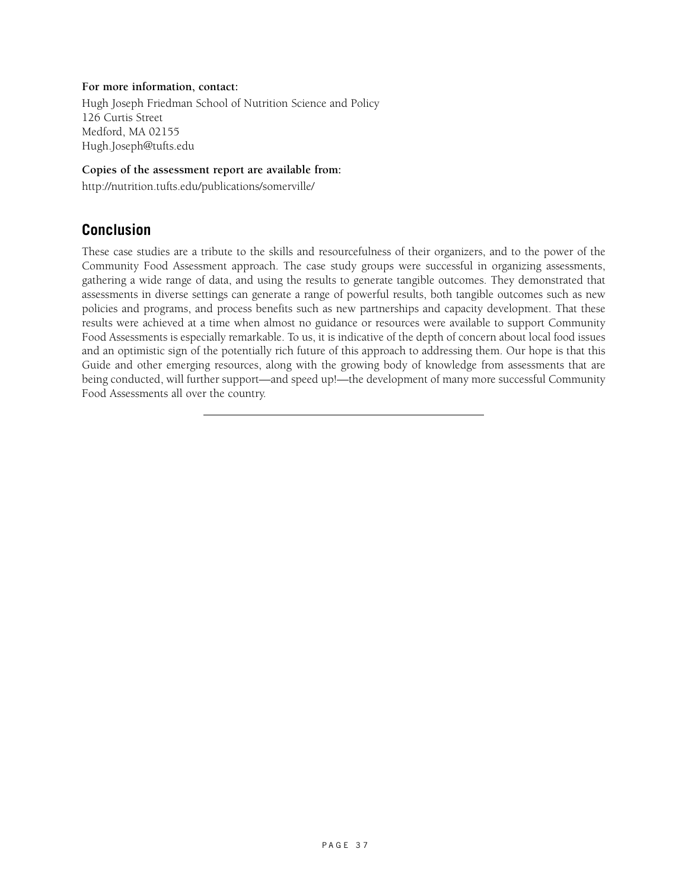#### **For more information, contact:**

Hugh Joseph Friedman School of Nutrition Science and Policy 126 Curtis Street Medford, MA 02155 Hugh.Joseph@tufts.edu

#### **Copies of the assessment report are available from:**

http://nutrition.tufts.edu/publications/somerville/

### **Conclusion**

These case studies are a tribute to the skills and resourcefulness of their organizers, and to the power of the Community Food Assessment approach. The case study groups were successful in organizing assessments, gathering a wide range of data, and using the results to generate tangible outcomes. They demonstrated that assessments in diverse settings can generate a range of powerful results, both tangible outcomes such as new policies and programs, and process benefits such as new partnerships and capacity development. That these results were achieved at a time when almost no guidance or resources were available to support Community Food Assessments is especially remarkable. To us, it is indicative of the depth of concern about local food issues and an optimistic sign of the potentially rich future of this approach to addressing them. Our hope is that this Guide and other emerging resources, along with the growing body of knowledge from assessments that are being conducted, will further support—and speed up!—the development of many more successful Community Food Assessments all over the country.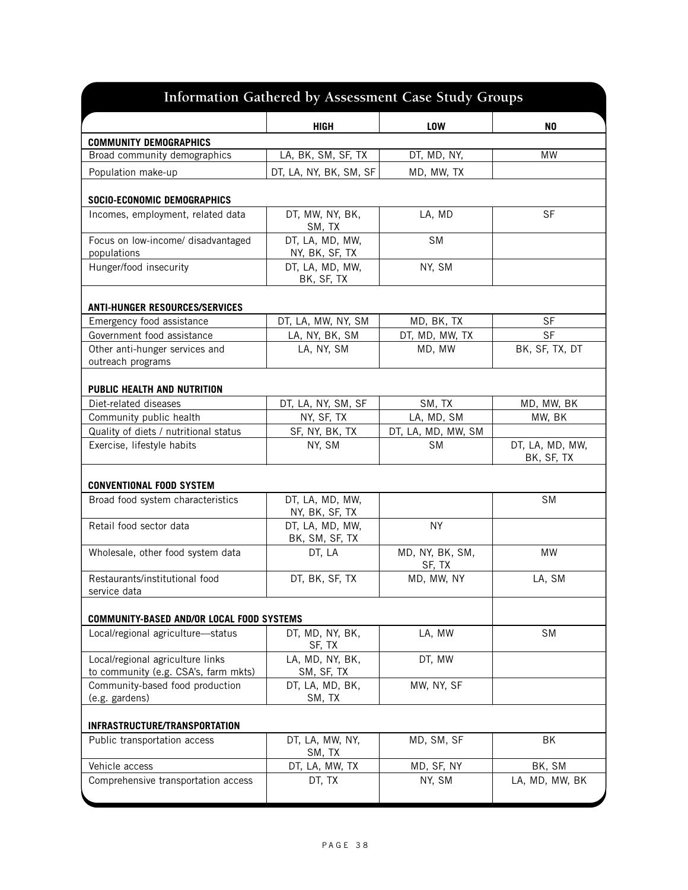| Information Gathered by Assessment Case Study Groups                     |                                   |                           |                               |  |  |  |
|--------------------------------------------------------------------------|-----------------------------------|---------------------------|-------------------------------|--|--|--|
|                                                                          | <b>HIGH</b>                       | <b>LOW</b>                | N <sub>0</sub>                |  |  |  |
| <b>COMMUNITY DEMOGRAPHICS</b>                                            |                                   |                           |                               |  |  |  |
| Broad community demographics                                             | LA, BK, SM, SF, TX                | DT, MD, NY,               | <b>MW</b>                     |  |  |  |
| Population make-up                                                       | DT, LA, NY, BK, SM, SF            | MD, MW, TX                |                               |  |  |  |
| SOCIO-ECONOMIC DEMOGRAPHICS                                              |                                   |                           |                               |  |  |  |
| Incomes, employment, related data                                        | DT, MW, NY, BK,<br>SM, TX         | LA, MD                    | <b>SF</b>                     |  |  |  |
| Focus on low-income/ disadvantaged<br>populations                        | DT, LA, MD, MW,<br>NY, BK, SF, TX | <b>SM</b>                 |                               |  |  |  |
| Hunger/food insecurity                                                   | DT, LA, MD, MW,<br>BK, SF, TX     | NY, SM                    |                               |  |  |  |
| <b>ANTI-HUNGER RESOURCES/SERVICES</b>                                    |                                   |                           |                               |  |  |  |
| Emergency food assistance                                                | DT, LA, MW, NY, SM                | MD, BK, TX                | <b>SF</b>                     |  |  |  |
| Government food assistance                                               | LA, NY, BK, SM                    | DT, MD, MW, TX            | <b>SF</b>                     |  |  |  |
| Other anti-hunger services and                                           | LA, NY, SM                        | MD, MW                    | BK, SF, TX, DT                |  |  |  |
| outreach programs                                                        |                                   |                           |                               |  |  |  |
| PUBLIC HEALTH AND NUTRITION                                              |                                   |                           |                               |  |  |  |
| Diet-related diseases                                                    | DT, LA, NY, SM, SF                | SM, TX                    | MD, MW, BK                    |  |  |  |
| Community public health                                                  | NY, SF, TX                        | LA, MD, SM                | MW, BK                        |  |  |  |
| Quality of diets / nutritional status                                    | SF, NY, BK, TX                    | DT, LA, MD, MW, SM        |                               |  |  |  |
| Exercise, lifestyle habits                                               | NY, SM                            | <b>SM</b>                 | DT, LA, MD, MW,<br>BK, SF, TX |  |  |  |
| <b>CONVENTIONAL FOOD SYSTEM</b>                                          |                                   |                           |                               |  |  |  |
| Broad food system characteristics                                        | DT, LA, MD, MW,<br>NY, BK, SF, TX |                           | <b>SM</b>                     |  |  |  |
| Retail food sector data                                                  | DT, LA, MD, MW,<br>BK, SM, SF, TX | <b>NY</b>                 |                               |  |  |  |
| Wholesale, other food system data                                        | DT, LA                            | MD, NY, BK, SM,<br>SF, TX | MW                            |  |  |  |
| Restaurants/institutional food<br>service data                           | DT, BK, SF, TX                    | MD, MW, NY                | LA, SM                        |  |  |  |
| COMMUNITY-BASED AND/OR LOCAL FOOD SYSTEMS                                |                                   |                           |                               |  |  |  |
| Local/regional agriculture-status                                        | DT, MD, NY, BK,<br>SF, TX         | LA, MW                    | <b>SM</b>                     |  |  |  |
| Local/regional agriculture links<br>to community (e.g. CSA's, farm mkts) | LA, MD, NY, BK,<br>SM, SF, TX     | DT, MW                    |                               |  |  |  |
| Community-based food production<br>(e.g. gardens)                        | DT, LA, MD, BK,<br>SM, TX         | MW, NY, SF                |                               |  |  |  |
| INFRASTRUCTURE/TRANSPORTATION                                            |                                   |                           |                               |  |  |  |
| Public transportation access                                             | DT, LA, MW, NY,<br>SM, TX         | MD, SM, SF                | <b>BK</b>                     |  |  |  |
| Vehicle access                                                           | DT, LA, MW, TX                    | MD, SF, NY                | BK, SM                        |  |  |  |
| Comprehensive transportation access                                      | DT, TX                            | NY, SM                    | LA, MD, MW, BK                |  |  |  |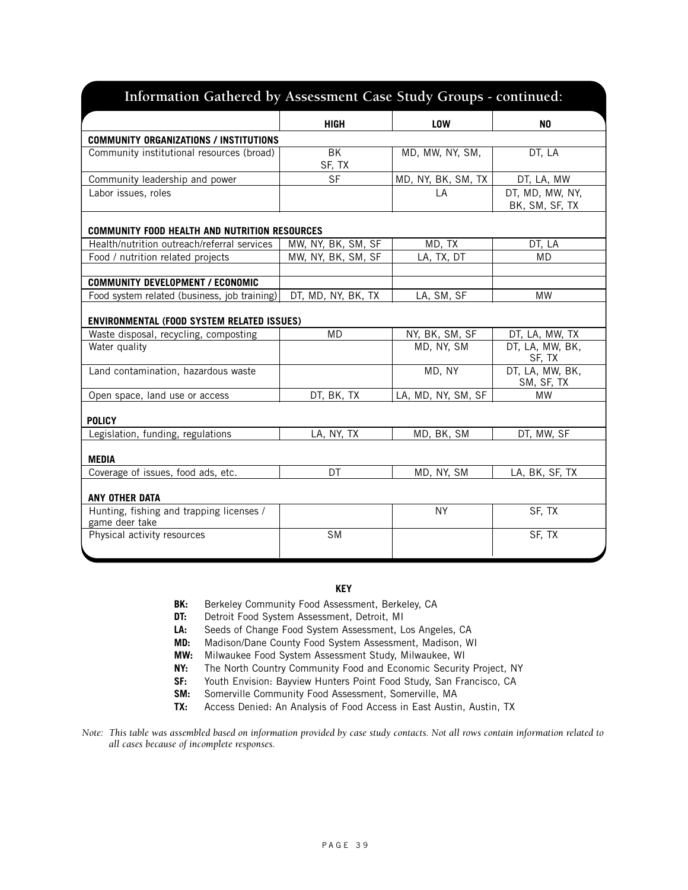| Information Gathered by Assessment Case Study Groups - continued: |                    |                    |                                   |
|-------------------------------------------------------------------|--------------------|--------------------|-----------------------------------|
|                                                                   | <b>HIGH</b>        | <b>LOW</b>         | N <sub>0</sub>                    |
| <b>COMMUNITY ORGANIZATIONS / INSTITUTIONS</b>                     |                    |                    |                                   |
| Community institutional resources (broad)                         | ВK<br>SF, TX       | MD, MW, NY, SM,    | DT, LA                            |
| Community leadership and power                                    | <b>SF</b>          | MD, NY, BK, SM, TX | DT, LA, MW                        |
| Labor issues, roles                                               |                    | LA                 | DT, MD, MW, NY,<br>BK, SM, SF, TX |
| <b>COMMUNITY FOOD HEALTH AND NUTRITION RESOURCES</b>              |                    |                    |                                   |
| Health/nutrition outreach/referral services                       | MW, NY, BK, SM, SF | MD, TX             | DT, LA                            |
| Food / nutrition related projects                                 | MW, NY, BK, SM, SF | LA, TX, DT         | <b>MD</b>                         |
| <b>COMMUNITY DEVELOPMENT / ECONOMIC</b>                           |                    |                    |                                   |
| Food system related (business, job training)                      | DT, MD, NY, BK, TX | LA, SM, SF         | <b>MW</b>                         |
| <b>ENVIRONMENTAL (FOOD SYSTEM RELATED ISSUES)</b>                 |                    |                    |                                   |
| Waste disposal, recycling, composting                             | <b>MD</b>          | NY, BK, SM, SF     | DT, LA, MW, TX                    |
| Water quality                                                     |                    | MD, NY, SM         | DT, LA, MW, BK,<br>SF, TX         |
| Land contamination, hazardous waste                               |                    | MD, NY             | DT, LA, MW, BK,<br>SM, SF, TX     |
| Open space, land use or access                                    | DT, BK, TX         | LA, MD, NY, SM, SF | <b>MW</b>                         |
| <b>POLICY</b>                                                     |                    |                    |                                   |
| Legislation, funding, regulations                                 | LA, NY, TX         | MD, BK, SM         | DT, MW, SF                        |
| <b>MEDIA</b>                                                      |                    |                    |                                   |
| Coverage of issues, food ads, etc.                                | DT                 | MD, NY, SM         | LA, BK, SF, TX                    |
| ANY OTHER DATA                                                    |                    |                    |                                   |
| Hunting, fishing and trapping licenses /<br>game deer take        |                    | NY.                | SF, TX                            |
| Physical activity resources                                       | <b>SM</b>          |                    | SF, TX                            |

#### **KEY**

- **BK:** Berkeley Community Food Assessment, Berkeley, CA
- **DT:** Detroit Food System Assessment, Detroit, MI
- **LA:** Seeds of Change Food System Assessment, Los Angeles, CA
- **MD:** Madison/Dane County Food System Assessment, Madison, WI
- **MW:** Milwaukee Food System Assessment Study, Milwaukee, WI
- **NY:** The North Country Community Food and Economic Security Project, NY
- **SF:** Youth Envision: Bayview Hunters Point Food Study, San Francisco, CA
- **SM:** Somerville Community Food Assessment, Somerville, MA
- **TX:** Access Denied: An Analysis of Food Access in East Austin, Austin, TX

*Note: This table was assembled based on information provided by case study contacts. Not all rows contain information related to all cases because of incomplete responses.*